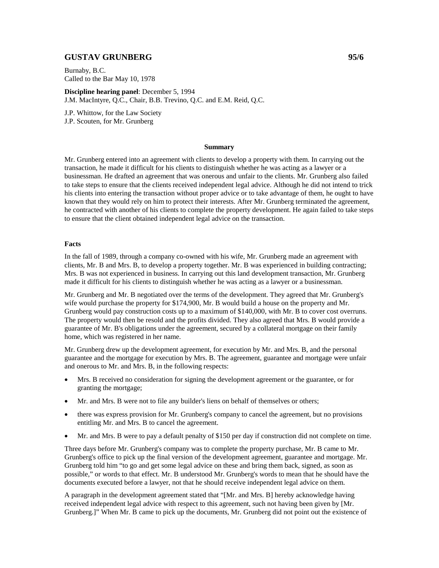# **GUSTAV GRUNBERG 95/6**

Burnaby, B.C. Called to the Bar May 10, 1978

**Discipline hearing panel**: December 5, 1994 J.M. MacIntyre, Q.C., Chair, B.B. Trevino, Q.C. and E.M. Reid, Q.C.

J.P. Whittow, for the Law Society J.P. Scouten, for Mr. Grunberg

### **Summary**

Mr. Grunberg entered into an agreement with clients to develop a property with them. In carrying out the transaction, he made it difficult for his clients to distinguish whether he was acting as a lawyer or a businessman. He drafted an agreement that was onerous and unfair to the clients. Mr. Grunberg also failed to take steps to ensure that the clients received independent legal advice. Although he did not intend to trick his clients into entering the transaction without proper advice or to take advantage of them, he ought to have known that they would rely on him to protect their interests. After Mr. Grunberg terminated the agreement, he contracted with another of his clients to complete the property development. He again failed to take steps to ensure that the client obtained independent legal advice on the transaction.

#### **Facts**

In the fall of 1989, through a company co-owned with his wife, Mr. Grunberg made an agreement with clients, Mr. B and Mrs. B, to develop a property together. Mr. B was experienced in building contracting; Mrs. B was not experienced in business. In carrying out this land development transaction, Mr. Grunberg made it difficult for his clients to distinguish whether he was acting as a lawyer or a businessman.

Mr. Grunberg and Mr. B negotiated over the terms of the development. They agreed that Mr. Grunberg's wife would purchase the property for \$174,900, Mr. B would build a house on the property and Mr. Grunberg would pay construction costs up to a maximum of \$140,000, with Mr. B to cover cost overruns. The property would then be resold and the profits divided. They also agreed that Mrs. B would provide a guarantee of Mr. B's obligations under the agreement, secured by a collateral mortgage on their family home, which was registered in her name.

Mr. Grunberg drew up the development agreement, for execution by Mr. and Mrs. B, and the personal guarantee and the mortgage for execution by Mrs. B. The agreement, guarantee and mortgage were unfair and onerous to Mr. and Mrs. B, in the following respects:

- Mrs. B received no consideration for signing the development agreement or the guarantee, or for granting the mortgage;
- Mr. and Mrs. B were not to file any builder's liens on behalf of themselves or others;
- there was express provision for Mr. Grunberg's company to cancel the agreement, but no provisions entitling Mr. and Mrs. B to cancel the agreement.
- Mr. and Mrs. B were to pay a default penalty of \$150 per day if construction did not complete on time.

Three days before Mr. Grunberg's company was to complete the property purchase, Mr. B came to Mr. Grunberg's office to pick up the final version of the development agreement, guarantee and mortgage. Mr. Grunberg told him "to go and get some legal advice on these and bring them back, signed, as soon as possible," or words to that effect. Mr. B understood Mr. Grunberg's words to mean that he should have the documents executed before a lawyer, not that he should receive independent legal advice on them.

A paragraph in the development agreement stated that "[Mr. and Mrs. B] hereby acknowledge having received independent legal advice with respect to this agreement, such not having been given by [Mr. Grunberg.]" When Mr. B came to pick up the documents, Mr. Grunberg did not point out the existence of